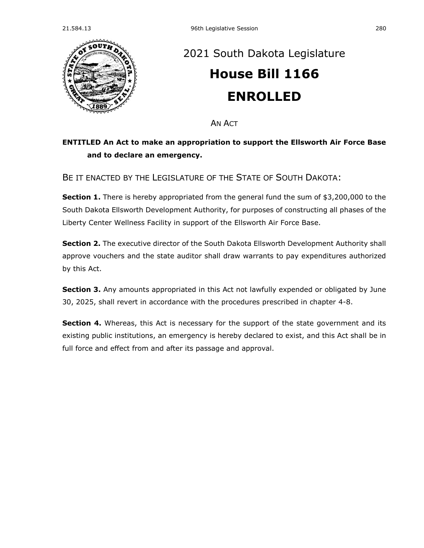

## [2021 South Dakota Legislature](https://sdlegislature.gov/Session/Bills/44) **[House Bill 1166](https://sdlegislature.gov/Session/Bill/22304) ENROLLED**

AN ACT

## **ENTITLED An Act to make an appropriation to support the Ellsworth Air Force Base and to declare an emergency.**

BE IT ENACTED BY THE LEGISLATURE OF THE STATE OF SOUTH DAKOTA:

**Section 1.** There is hereby appropriated from the general fund the sum of \$3,200,000 to the South Dakota Ellsworth Development Authority, for purposes of constructing all phases of the Liberty Center Wellness Facility in support of the Ellsworth Air Force Base.

Section 2. The executive director of the South Dakota Ellsworth Development Authority shall approve vouchers and the state auditor shall draw warrants to pay expenditures authorized by this Act.

**Section 3.** Any amounts appropriated in this Act not lawfully expended or obligated by June 30, 2025, shall revert in accordance with the procedures prescribed in chapter [4-8.](https://sdlegislature.gov/Statutes/Codified_Laws/DisplayStatute.aspx?Type=Statute&Statute=4-8)

**Section 4.** Whereas, this Act is necessary for the support of the state government and its existing public institutions, an emergency is hereby declared to exist, and this Act shall be in full force and effect from and after its passage and approval.